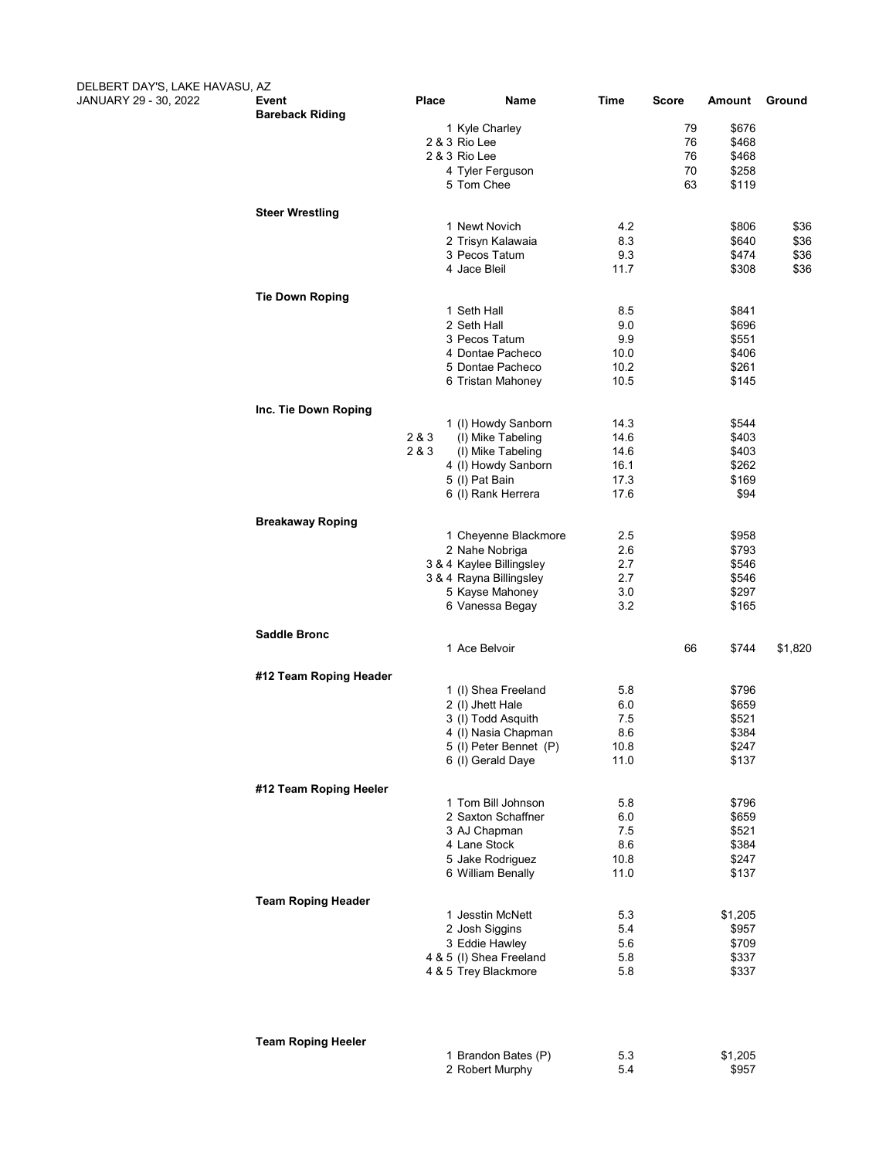| DELBERT DAY'S, LAKE HAVASU, AZ<br>JANUARY 29 - 30, 2022 | Event                     | <b>Place</b>   | Name                                                | Time         | Score    | Amount         | Ground       |
|---------------------------------------------------------|---------------------------|----------------|-----------------------------------------------------|--------------|----------|----------------|--------------|
|                                                         | <b>Bareback Riding</b>    |                | 1 Kyle Charley                                      |              | 79       | \$676          |              |
|                                                         |                           |                | 2 & 3 Rio Lee                                       |              | 76       | \$468          |              |
|                                                         |                           |                | 2 & 3 Rio Lee<br>4 Tyler Ferguson                   |              | 76<br>70 | \$468<br>\$258 |              |
|                                                         |                           |                | 5 Tom Chee                                          |              | 63       | \$119          |              |
|                                                         | <b>Steer Wrestling</b>    |                |                                                     |              |          |                |              |
|                                                         |                           |                | 1 Newt Novich                                       | 4.2          |          | \$806          | \$36         |
|                                                         |                           |                | 2 Trisyn Kalawaia<br>3 Pecos Tatum                  | 8.3<br>9.3   |          | \$640<br>\$474 | \$36<br>\$36 |
|                                                         |                           |                | 4 Jace Bleil                                        | 11.7         |          | \$308          | \$36         |
|                                                         | <b>Tie Down Roping</b>    |                |                                                     |              |          |                |              |
|                                                         |                           |                | 1 Seth Hall                                         | 8.5          |          | \$841          |              |
|                                                         |                           |                | 2 Seth Hall<br>3 Pecos Tatum                        | 9.0          |          | \$696          |              |
|                                                         |                           |                | 4 Dontae Pacheco                                    | 9.9<br>10.0  |          | \$551<br>\$406 |              |
|                                                         |                           |                | 5 Dontae Pacheco                                    | 10.2         |          | \$261          |              |
|                                                         |                           |                | 6 Tristan Mahoney                                   | 10.5         |          | \$145          |              |
|                                                         | Inc. Tie Down Roping      |                |                                                     |              |          |                |              |
|                                                         |                           |                | 1 (I) Howdy Sanborn                                 | 14.3         |          | \$544          |              |
|                                                         |                           | 2 & 3<br>2 & 3 | (I) Mike Tabeling                                   | 14.6         |          | \$403          |              |
|                                                         |                           |                | (I) Mike Tabeling<br>4 (I) Howdy Sanborn            | 14.6<br>16.1 |          | \$403<br>\$262 |              |
|                                                         |                           |                | 5 (I) Pat Bain                                      | 17.3         |          | \$169          |              |
|                                                         |                           |                | 6 (I) Rank Herrera                                  | 17.6         |          | \$94           |              |
|                                                         | <b>Breakaway Roping</b>   |                |                                                     |              |          |                |              |
|                                                         |                           |                | 1 Cheyenne Blackmore                                | 2.5          |          | \$958          |              |
|                                                         |                           |                | 2 Nahe Nobriga                                      | 2.6          |          | \$793          |              |
|                                                         |                           |                | 3 & 4 Kaylee Billingsley<br>3 & 4 Rayna Billingsley | 2.7<br>2.7   |          | \$546<br>\$546 |              |
|                                                         |                           |                | 5 Kayse Mahoney                                     | 3.0          |          | \$297          |              |
|                                                         |                           |                | 6 Vanessa Begay                                     | 3.2          |          | \$165          |              |
|                                                         | <b>Saddle Bronc</b>       |                |                                                     |              |          |                |              |
|                                                         |                           |                | 1 Ace Belvoir                                       |              | 66       | \$744          | \$1,820      |
|                                                         | #12 Team Roping Header    |                |                                                     |              |          |                |              |
|                                                         |                           |                | 1 (I) Shea Freeland                                 | 5.8          |          | \$796          |              |
|                                                         |                           |                | 2 (I) Jhett Hale<br>3 (I) Todd Asquith              | 6.0<br>7.5   |          | \$659<br>\$521 |              |
|                                                         |                           |                | 4 (I) Nasia Chapman                                 | 8.6          |          | \$384          |              |
|                                                         |                           |                | 5 (I) Peter Bennet (P)                              | 10.8         |          | \$247          |              |
|                                                         |                           |                | 6 (I) Gerald Daye                                   | 11.0         |          | \$137          |              |
|                                                         | #12 Team Roping Heeler    |                |                                                     |              |          |                |              |
|                                                         |                           |                | 1 Tom Bill Johnson                                  | 5.8          |          | \$796          |              |
|                                                         |                           |                | 2 Saxton Schaffner<br>3 AJ Chapman                  | 6.0<br>7.5   |          | \$659<br>\$521 |              |
|                                                         |                           |                | 4 Lane Stock                                        | 8.6          |          | \$384          |              |
|                                                         |                           |                | 5 Jake Rodriguez                                    | 10.8         |          | \$247          |              |
|                                                         |                           |                | 6 William Benally                                   | 11.0         |          | \$137          |              |
|                                                         | <b>Team Roping Header</b> |                |                                                     |              |          |                |              |
|                                                         |                           |                | 1 Jesstin McNett                                    | 5.3          |          | \$1,205        |              |
|                                                         |                           |                | 2 Josh Siggins<br>3 Eddie Hawley                    | 5.4<br>5.6   |          | \$957<br>\$709 |              |
|                                                         |                           |                | 4 & 5 (I) Shea Freeland                             | 5.8          |          | \$337          |              |
|                                                         |                           |                | 4 & 5 Trey Blackmore                                | 5.8          |          | \$337          |              |
|                                                         |                           |                |                                                     |              |          |                |              |
|                                                         | <b>Team Roping Heeler</b> |                |                                                     |              |          |                |              |
|                                                         |                           |                | 1 Brandon Bates (P)                                 | 5.3          |          | \$1,205        |              |

2 Robert Murphy 5.4 \$957